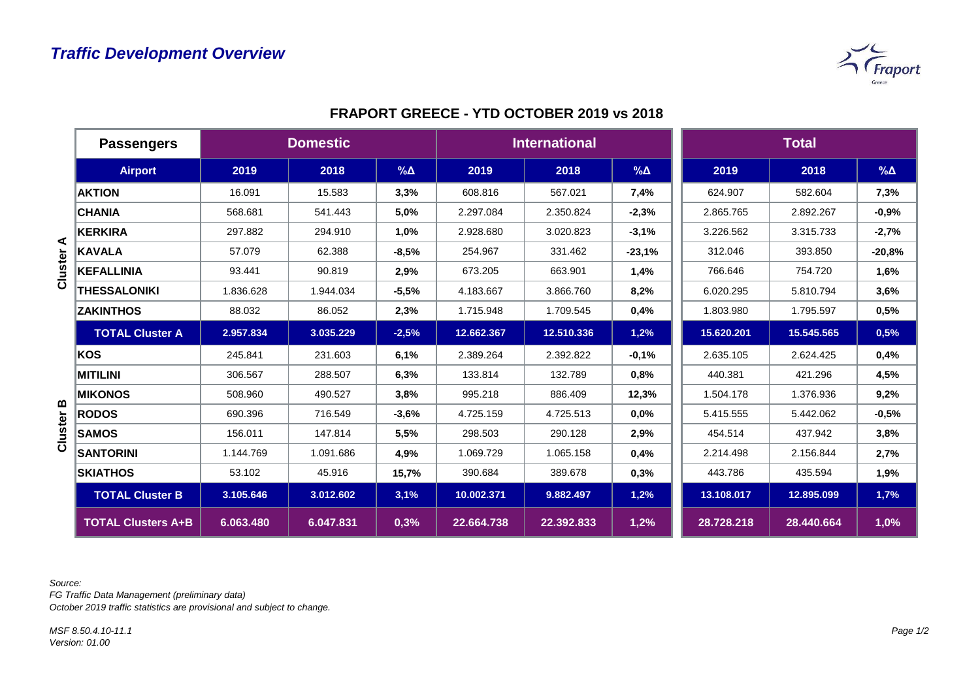

|              | <b>Passengers</b>         | <b>Domestic</b> |           |            | <b>International</b> |            |            | <b>Total</b> |            |             |
|--------------|---------------------------|-----------------|-----------|------------|----------------------|------------|------------|--------------|------------|-------------|
|              | <b>Airport</b>            | 2019            | 2018      | $% \Delta$ | 2019                 | 2018       | $% \Delta$ | 2019         | 2018       | $\% \Delta$ |
|              | <b>AKTION</b>             | 16.091          | 15.583    | 3,3%       | 608.816              | 567.021    | 7,4%       | 624.907      | 582.604    | 7,3%        |
|              | <b>CHANIA</b>             | 568.681         | 541.443   | 5,0%       | 2.297.084            | 2.350.824  | $-2,3%$    | 2.865.765    | 2.892.267  | $-0,9%$     |
|              | <b>KERKIRA</b>            | 297.882         | 294.910   | 1,0%       | 2.928.680            | 3.020.823  | $-3,1%$    | 3.226.562    | 3.315.733  | $-2,7%$     |
| ⋖<br>Cluster | <b>KAVALA</b>             | 57.079          | 62.388    | $-8,5%$    | 254.967              | 331.462    | $-23,1%$   | 312.046      | 393.850    | $-20,8%$    |
|              | KEFALLINIA                | 93.441          | 90.819    | 2,9%       | 673.205              | 663.901    | 1,4%       | 766.646      | 754.720    | 1,6%        |
|              | <b>THESSALONIKI</b>       | 1.836.628       | 1.944.034 | $-5,5%$    | 4.183.667            | 3.866.760  | 8,2%       | 6.020.295    | 5.810.794  | 3,6%        |
|              | <b>ZAKINTHOS</b>          | 88.032          | 86.052    | 2,3%       | 1.715.948            | 1.709.545  | 0,4%       | 1.803.980    | 1.795.597  | 0,5%        |
|              | <b>TOTAL Cluster A</b>    | 2.957.834       | 3.035.229 | $-2,5%$    | 12.662.367           | 12.510.336 | 1,2%       | 15.620.201   | 15.545.565 | 0,5%        |
|              | KOS                       | 245.841         | 231.603   | 6,1%       | 2.389.264            | 2.392.822  | $-0,1%$    | 2.635.105    | 2.624.425  | 0,4%        |
|              | <b>MITILINI</b>           | 306.567         | 288.507   | 6,3%       | 133.814              | 132.789    | 0,8%       | 440.381      | 421.296    | 4,5%        |
|              | <b>MIKONOS</b>            | 508.960         | 490.527   | 3,8%       | 995.218              | 886.409    | 12,3%      | 1.504.178    | 1.376.936  | 9,2%        |
| m            | <b>RODOS</b>              | 690.396         | 716.549   | $-3,6%$    | 4.725.159            | 4.725.513  | 0,0%       | 5.415.555    | 5.442.062  | $-0,5%$     |
| Cluster      | <b>SAMOS</b>              | 156.011         | 147.814   | 5,5%       | 298.503              | 290.128    | 2,9%       | 454.514      | 437.942    | 3,8%        |
|              | <b>SANTORINI</b>          | 1.144.769       | 1.091.686 | 4,9%       | 1.069.729            | 1.065.158  | 0,4%       | 2.214.498    | 2.156.844  | 2,7%        |
|              | <b>SKIATHOS</b>           | 53.102          | 45.916    | 15,7%      | 390.684              | 389.678    | 0,3%       | 443.786      | 435.594    | 1,9%        |
|              | <b>TOTAL Cluster B</b>    | 3.105.646       | 3.012.602 | 3,1%       | 10.002.371           | 9.882.497  | 1,2%       | 13.108.017   | 12.895.099 | 1,7%        |
|              | <b>TOTAL Clusters A+B</b> | 6.063.480       | 6.047.831 | 0,3%       | 22.664.738           | 22.392.833 | 1,2%       | 28.728.218   | 28.440.664 | 1,0%        |

## **FRAPORT GREECE - YTD OCTOBER 2019 vs 2018**

*Source:* 

*FG Traffic Data Management (preliminary data)*

*October 2019 traffic statistics are provisional and subject to change.*

*MSF 8.50.4.10-11.1 Version: 01.00*